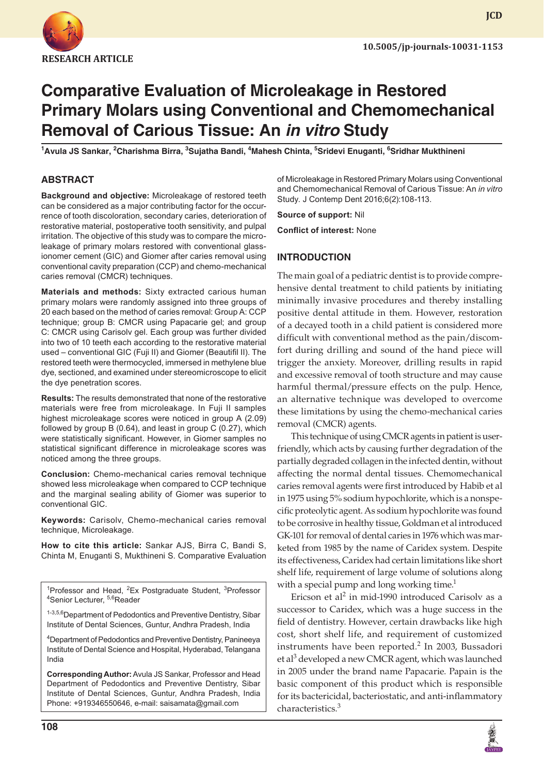

**JCD**

# **Comparative Evaluation of Microleakage in Restored Primary Molars using Conventional and Chemomechanical Removal of Carious Tissue: An in vitro Study**

**1 Avula JS Sankar, <sup>2</sup> Charishma Birra, <sup>3</sup> Sujatha Bandi, 4 Mahesh Chinta, 5 Sridevi Enuganti, 6 Sridhar Mukthineni**

### **ABSTRACT**

**Background and objective:** Microleakage of restored teeth can be considered as a major contributing factor for the occurrence of tooth discoloration, secondary caries, deterioration of restorative material, postoperative tooth sensitivity, and pulpal irritation. The objective of this study was to compare the microleakage of primary molars restored with conventional glassionomer cement (GIC) and Giomer after caries removal using conventional cavity preparation (CCP) and chemo-mechanical caries removal (CMCR) techniques.

**Materials and methods:** Sixty extracted carious human primary molars were randomly assigned into three groups of 20 each based on the method of caries removal: Group A: CCP technique; group B: CMCR using Papacarie gel; and group C: CMCR using Carisolv gel. Each group was further divided into two of 10 teeth each according to the restorative material used – conventional GIC (Fuji II) and Giomer (Beautifil II). The restored teeth were thermocycled, immersed in methylene blue dye, sectioned, and examined under stereomicroscope to elicit the dye penetration scores.

**Results:** The results demonstrated that none of the restorative materials were free from microleakage. In Fuji II samples highest microleakage scores were noticed in group A (2.09) followed by group B (0.64), and least in group C (0.27), which were statistically significant. However, in Giomer samples no statistical significant difference in microleakage scores was noticed among the three groups.

**Conclusion:** Chemo-mechanical caries removal technique showed less microleakage when compared to CCP technique and the marginal sealing ability of Giomer was superior to conventional GIC.

**Keywords:** Carisolv, Chemo-mechanical caries removal technique, Microleakage.

**How to cite this article:** Sankar AJS, Birra C, Bandi S, Chinta M, Enuganti S, Mukthineni S. Comparative Evaluation

<sup>1</sup> Professor and Head, <sup>2</sup> Ex Postgraduate Student, <sup>3</sup> Professor <br><sup>4</sup> Senior Lecturer, <sup>5,6</sup> Peader <sup>4</sup>Senior Lecturer, <sup>5,6</sup>Reader

1-3,5,6 Department of Pedodontics and Preventive Dentistry, Sibar Institute of Dental Sciences, Guntur, Andhra Pradesh, India

4 Department of Pedodontics and Preventive Dentistry, Panineeya Institute of Dental Science and Hospital, Hyderabad, Telangana India

**Corresponding Author:** Avula JS Sankar, Professor and Head Department of Pedodontics and Preventive Dentistry, Sibar Institute of Dental Sciences, Guntur, Andhra Pradesh, India Phone: +919346550646, e-mail: saisamata@gmail.com

of Microleakage in Restored Primary Molars using Conventional and Chemomechanical Removal of Carious Tissue: An *in vitro* Study. J Contemp Dent 2016;6(2):108-113.

**Source of support:** Nil

**Conflict of interest:** None

## **INTRODUCTION**

The main goal of a pediatric dentist is to provide comprehensive dental treatment to child patients by initiating minimally invasive procedures and thereby installing positive dental attitude in them. However, restoration of a decayed tooth in a child patient is considered more difficult with conventional method as the pain/discomfort during drilling and sound of the hand piece will trigger the anxiety. Moreover, drilling results in rapid and excessive removal of tooth structure and may cause harmful thermal/pressure effects on the pulp. Hence, an alternative technique was developed to overcome these limitations by using the chemo-mechanical caries removal (CMCR) agents.

This technique of using CMCR agents in patient is userfriendly, which acts by causing further degradation of the partially degraded collagen in the infected dentin, without affecting the normal dental tissues. Chemomechanical caries removal agents were first introduced by Habib et al in 1975 using 5% sodium hypochlorite, which is a nonspecific proteolytic agent. As sodium hypochlorite was found to be corrosive in healthy tissue, Goldman et al introduced GK-101 for removal of dental caries in 1976 which was marketed from 1985 by the name of Caridex system. Despite its effectiveness, Caridex had certain limitations like short shelf life, requirement of large volume of solutions along with a special pump and long working time. $1$ 

Ericson et al<sup>2</sup> in mid-1990 introduced Carisolv as a successor to Caridex, which was a huge success in the field of dentistry. However, certain drawbacks like high cost, short shelf life, and requirement of customized instruments have been reported.<sup>2</sup> In 2003, Bussadori et al<sup>3</sup> developed a new CMCR agent, which was launched in 2005 under the brand name Papacarie. Papain is the basic component of this product which is responsible for its bactericidal, bacteriostatic, and anti-inflammatory characteristics.<sup>3</sup>

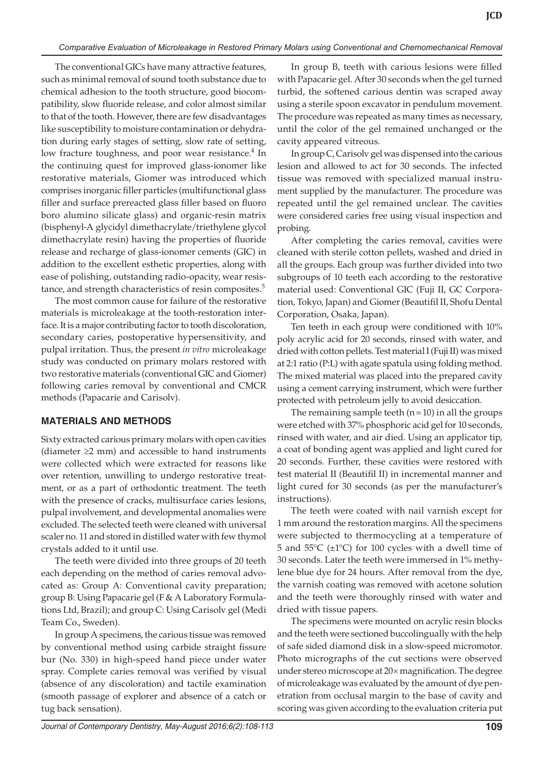The conventional GICs have many attractive features, such as minimal removal of sound tooth substance due to chemical adhesion to the tooth structure, good biocompatibility, slow fluoride release, and color almost similar to that of the tooth. However, there are few disadvantages like susceptibility to moisture contamination or dehydration during early stages of setting, slow rate of setting, low fracture toughness, and poor wear resistance.<sup>4</sup> In the continuing quest for improved glass-ionomer like restorative materials, Giomer was introduced which comprises inorganic filler particles (multifunctional glass filler and surface prereacted glass filler based on fluoro boro alumino silicate glass) and organic-resin matrix (bisphenyl-A glycidyl dimethacrylate/triethylene glycol dimethacrylate resin) having the properties of fluoride release and recharge of glass-ionomer cements (GIC) in addition to the excellent esthetic properties, along with ease of polishing, outstanding radio-opacity, wear resistance, and strength characteristics of resin composites.<sup>5</sup>

The most common cause for failure of the restorative materials is microleakage at the tooth-restoration interface. It is a major contributing factor to tooth discoloration, secondary caries, postoperative hypersensitivity, and pulpal irritation. Thus, the present *in vitro* microleakage study was conducted on primary molars restored with two restorative materials (conventional GIC and Giomer) following caries removal by conventional and CMCR methods (Papacarie and Carisolv).

## **MATERIALS AND METHODs**

Sixty extracted carious primary molars with open cavities (diameter ≥2 mm) and accessible to hand instruments were collected which were extracted for reasons like over retention, unwilling to undergo restorative treatment, or as a part of orthodontic treatment. The teeth with the presence of cracks, multisurface caries lesions, pulpal involvement, and developmental anomalies were excluded. The selected teeth were cleaned with universal scaler no. 11 and stored in distilled water with few thymol crystals added to it until use.

The teeth were divided into three groups of 20 teeth each depending on the method of caries removal advocated as: Group A: Conventional cavity preparation; group B: Using Papacarie gel (F & A Laboratory Formulations Ltd, Brazil); and group C: Using Carisolv gel (Medi Team Co., Sweden).

In group A specimens, the carious tissue was removed by conventional method using carbide straight fissure bur (No. 330) in high-speed hand piece under water spray. Complete caries removal was verified by visual (absence of any discoloration) and tactile examination (smooth passage of explorer and absence of a catch or tug back sensation).

In group B, teeth with carious lesions were filled with Papacarie gel. After 30 seconds when the gel turned turbid, the softened carious dentin was scraped away using a sterile spoon excavator in pendulum movement. The procedure was repeated as many times as necessary, until the color of the gel remained unchanged or the cavity appeared vitreous.

In group C, Carisolv gel was dispensed into the carious lesion and allowed to act for 30 seconds. The infected tissue was removed with specialized manual instrument supplied by the manufacturer. The procedure was repeated until the gel remained unclear. The cavities were considered caries free using visual inspection and probing.

After completing the caries removal, cavities were cleaned with sterile cotton pellets, washed and dried in all the groups. Each group was further divided into two subgroups of 10 teeth each according to the restorative material used: Conventional GIC (Fuji II, GC Corporation, Tokyo, Japan) and Giomer (Beautifil II, Shofu Dental Corporation, Osaka, Japan).

Ten teeth in each group were conditioned with 10% poly acrylic acid for 20 seconds, rinsed with water, and dried with cotton pellets. Test material I (Fuji II) was mixed at 2:1 ratio (P:L) with agate spatula using folding method. The mixed material was placed into the prepared cavity using a cement carrying instrument, which were further protected with petroleum jelly to avoid desiccation.

The remaining sample teeth  $(n=10)$  in all the groups were etched with 37% phosphoric acid gel for 10 seconds, rinsed with water, and air died. Using an applicator tip, a coat of bonding agent was applied and light cured for 20 seconds. Further, these cavities were restored with test material II (Beautifil II) in incremental manner and light cured for 30 seconds (as per the manufacturer's instructions).

The teeth were coated with nail varnish except for 1 mm around the restoration margins. All the specimens were subjected to thermocycling at a temperature of 5 and 55 $\degree$ C ( $\pm$ 1 $\degree$ C) for 100 cycles with a dwell time of 30 seconds. Later the teeth were immersed in 1% methylene blue dye for 24 hours. After removal from the dye, the varnish coating was removed with acetone solution and the teeth were thoroughly rinsed with water and dried with tissue papers.

The specimens were mounted on acrylic resin blocks and the teeth were sectioned buccolingually with the help of safe sided diamond disk in a slow-speed micromotor. Photo micrographs of the cut sections were observed under stereo microscope at 20× magnification. The degree of microleakage was evaluated by the amount of dye penetration from occlusal margin to the base of cavity and scoring was given according to the evaluation criteria put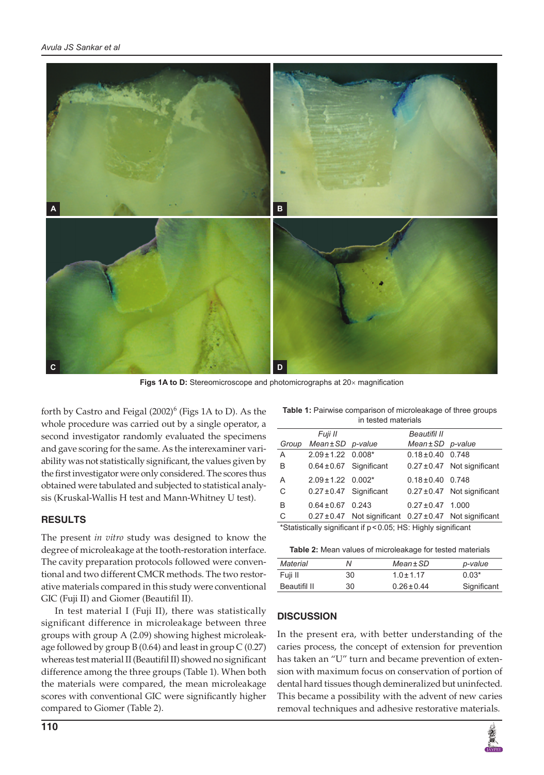

**Figs 1A to D:** Stereomicroscope and photomicrographs at 20× magnification

forth by Castro and Feigal  $(2002)^6$  (Figs 1A to D). As the whole procedure was carried out by a single operator, a second investigator randomly evaluated the specimens and gave scoring for the same. As the interexaminer variability was not statistically significant, the values given by the first investigator were only considered. The scores thus obtained were tabulated and subjected to statistical analysis (Kruskal-Wallis H test and Mann-Whitney U test).

## **RESULTS**

The present *in vitro* study was designed to know the degree of microleakage at the tooth-restoration interface. The cavity preparation protocols followed were conventional and two different CMCR methods. The two restorative materials compared in this study were conventional GIC (Fuji II) and Giomer (Beautifil II).

In test material I (Fuji II), there was statistically significant difference in microleakage between three groups with group A (2.09) showing highest microleakage followed by group  $B(0.64)$  and least in group  $C(0.27)$ whereas test material II (Beautifil II) showed no significant difference among the three groups (Table 1). When both the materials were compared, the mean microleakage scores with conventional GIC were significantly higher compared to Giomer (Table 2).

| <b>Table 1:</b> Pairwise comparison of microleakage of three groups |
|---------------------------------------------------------------------|
| in tested materials                                                 |

|                                                                | Fuji II                     |                                                                 | Beautifil II          |                                 |  |
|----------------------------------------------------------------|-----------------------------|-----------------------------------------------------------------|-----------------------|---------------------------------|--|
| Group                                                          | $Mean \pm SD$ p-value       |                                                                 | $Mean \pm SD$ p-value |                                 |  |
| A                                                              | $2.09 \pm 1.22$ 0.008*      |                                                                 | $0.18 \pm 0.40$ 0.748 |                                 |  |
| B                                                              | $0.64 \pm 0.67$ Significant |                                                                 |                       | $0.27 \pm 0.47$ Not significant |  |
| A                                                              | $2.09 \pm 1.22$ 0.002*      |                                                                 | $0.18 \pm 0.40$ 0.748 |                                 |  |
| C                                                              | $0.27 \pm 0.47$ Significant |                                                                 |                       | $0.27 \pm 0.47$ Not significant |  |
| B                                                              | $0.64 \pm 0.67$ 0.243       |                                                                 | $0.27 \pm 0.47$ 1.000 |                                 |  |
| C                                                              |                             | $0.27 \pm 0.47$ Not significant $0.27 \pm 0.47$ Not significant |                       |                                 |  |
| *Statistically significant if p < 0.05; HS: Highly significant |                             |                                                                 |                       |                                 |  |

| Material     | N  | $Mean \pm SD$   | p-value     |
|--------------|----|-----------------|-------------|
| Fuji II      | 30 | $1.0 + 1.17$    | $0.03*$     |
| Beautifil II | 30 | $0.26 \pm 0.44$ | Significant |

#### **DISCUSSION**

In the present era, with better understanding of the caries process, the concept of extension for prevention has taken an "U" turn and became prevention of extension with maximum focus on conservation of portion of dental hard tissues though demineralized but uninfected. This became a possibility with the advent of new caries removal techniques and adhesive restorative materials.

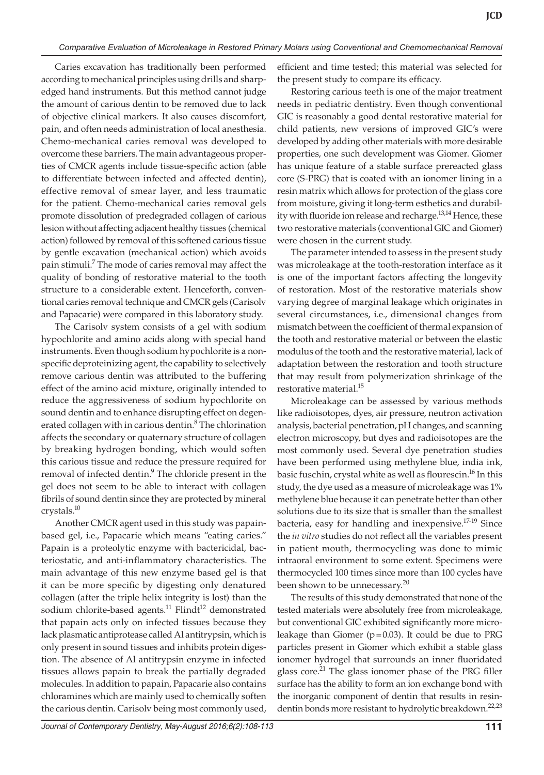Caries excavation has traditionally been performed according to mechanical principles using drills and sharpedged hand instruments. But this method cannot judge the amount of carious dentin to be removed due to lack of objective clinical markers. It also causes discomfort, pain, and often needs administration of local anesthesia. Chemo-mechanical caries removal was developed to overcome these barriers. The main advantageous properties of CMCR agents include tissue-specific action (able to differentiate between infected and affected dentin), effective removal of smear layer, and less traumatic for the patient. Chemo-mechanical caries removal gels promote dissolution of predegraded collagen of carious lesion without affecting adjacent healthy tissues (chemical action) followed by removal of this softened carious tissue by gentle excavation (mechanical action) which avoids pain stimuli.<sup>7</sup> The mode of caries removal may affect the quality of bonding of restorative material to the tooth structure to a considerable extent. Henceforth, conventional caries removal technique and CMCR gels (Carisolv and Papacarie) were compared in this laboratory study.

The Carisolv system consists of a gel with sodium hypochlorite and amino acids along with special hand instruments. Even though sodium hypochlorite is a nonspecific deproteinizing agent, the capability to selectively remove carious dentin was attributed to the buffering effect of the amino acid mixture, originally intended to reduce the aggressiveness of sodium hypochlorite on sound dentin and to enhance disrupting effect on degenerated collagen with in carious dentin.<sup>8</sup> The chlorination affects the secondary or quaternary structure of collagen by breaking hydrogen bonding, which would soften this carious tissue and reduce the pressure required for removal of infected dentin.<sup>9</sup> The chloride present in the gel does not seem to be able to interact with collagen fibrils of sound dentin since they are protected by mineral crystals.10

Another CMCR agent used in this study was papainbased gel, i.e., Papacarie which means "eating caries." Papain is a proteolytic enzyme with bactericidal, bacteriostatic, and anti-inflammatory characteristics. The main advantage of this new enzyme based gel is that it can be more specific by digesting only denatured collagen (after the triple helix integrity is lost) than the sodium chlorite-based agents.<sup>11</sup> Flindt<sup>12</sup> demonstrated that papain acts only on infected tissues because they lack plasmatic antiprotease called Al antitrypsin, which is only present in sound tissues and inhibits protein digestion. The absence of Al antitrypsin enzyme in infected tissues allows papain to break the partially degraded molecules. In addition to papain, Papacarie also contains chloramines which are mainly used to chemically soften the carious dentin. Carisolv being most commonly used,

efficient and time tested; this material was selected for the present study to compare its efficacy.

Restoring carious teeth is one of the major treatment needs in pediatric dentistry. Even though conventional GIC is reasonably a good dental restorative material for child patients, new versions of improved GIC's were developed by adding other materials with more desirable properties, one such development was Giomer. Giomer has unique feature of a stable surface prereacted glass core (S-PRG) that is coated with an ionomer lining in a resin matrix which allows for protection of the glass core from moisture, giving it long-term esthetics and durability with fluoride ion release and recharge.<sup>13,14</sup> Hence, these two restorative materials (conventional GIC and Giomer) were chosen in the current study.

The parameter intended to assess in the present study was microleakage at the tooth-restoration interface as it is one of the important factors affecting the longevity of restoration. Most of the restorative materials show varying degree of marginal leakage which originates in several circumstances, i.e., dimensional changes from mismatch between the coefficient of thermal expansion of the tooth and restorative material or between the elastic modulus of the tooth and the restorative material, lack of adaptation between the restoration and tooth structure that may result from polymerization shrinkage of the restorative material.15

Microleakage can be assessed by various methods like radioisotopes, dyes, air pressure, neutron activation analysis, bacterial penetration, pH changes, and scanning electron microscopy, but dyes and radioisotopes are the most commonly used. Several dye penetration studies have been performed using methylene blue, india ink, basic fuschin, crystal white as well as flourescin.<sup>16</sup> In this study, the dye used as a measure of microleakage was 1% methylene blue because it can penetrate better than other solutions due to its size that is smaller than the smallest bacteria, easy for handling and inexpensive.<sup>17-19</sup> Since the *in vitro* studies do not reflect all the variables present in patient mouth, thermocycling was done to mimic intraoral environment to some extent. Specimens were thermocycled 100 times since more than 100 cycles have been shown to be unnecessary.<sup>20</sup>

The results of this study demonstrated that none of the tested materials were absolutely free from microleakage, but conventional GIC exhibited significantly more microleakage than Giomer ( $p=0.03$ ). It could be due to PRG particles present in Giomer which exhibit a stable glass ionomer hydrogel that surrounds an inner fluoridated glass core. $21$  The glass ionomer phase of the PRG filler surface has the ability to form an ion exchange bond with the inorganic component of dentin that results in resindentin bonds more resistant to hydrolytic breakdown.<sup>22,23</sup>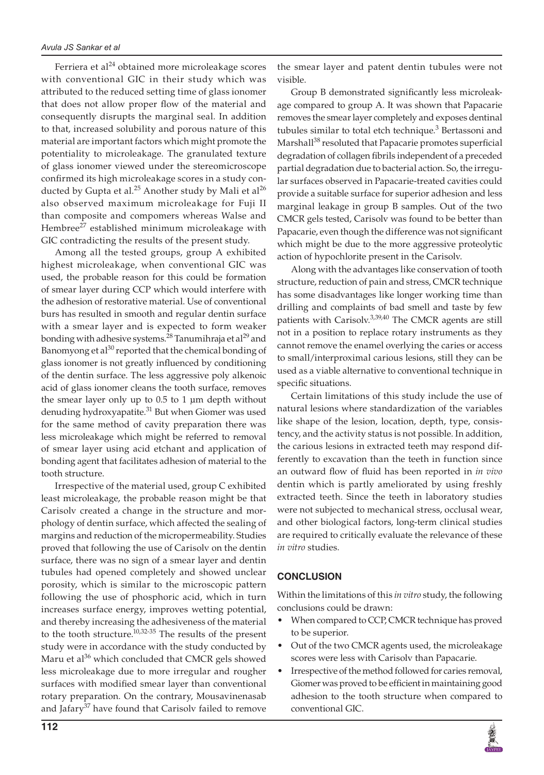Ferriera et al $^{24}$  obtained more microleakage scores with conventional GIC in their study which was attributed to the reduced setting time of glass ionomer that does not allow proper flow of the material and consequently disrupts the marginal seal. In addition to that, increased solubility and porous nature of this material are important factors which might promote the potentiality to microleakage. The granulated texture of glass ionomer viewed under the stereomicroscope confirmed its high microleakage scores in a study conducted by Gupta et al.<sup>25</sup> Another study by Mali et al<sup>26</sup> also observed maximum microleakage for Fuji II than composite and compomers whereas Walse and Hembree<sup>27</sup> established minimum microleakage with GIC contradicting the results of the present study.

Among all the tested groups, group A exhibited highest microleakage, when conventional GIC was used, the probable reason for this could be formation of smear layer during CCP which would interfere with the adhesion of restorative material. Use of conventional burs has resulted in smooth and regular dentin surface with a smear layer and is expected to form weaker bonding with adhesive systems.<sup>28</sup> Tanumihraja et al<sup>29</sup> and Banomyong et al<sup>30</sup> reported that the chemical bonding of glass ionomer is not greatly influenced by conditioning of the dentin surface. The less aggressive poly alkenoic acid of glass ionomer cleans the tooth surface, removes the smear layer only up to 0.5 to 1 µm depth without denuding hydroxyapatite.<sup>31</sup> But when Giomer was used for the same method of cavity preparation there was less microleakage which might be referred to removal of smear layer using acid etchant and application of bonding agent that facilitates adhesion of material to the tooth structure.

Irrespective of the material used, group C exhibited least microleakage, the probable reason might be that Carisolv created a change in the structure and morphology of dentin surface, which affected the sealing of margins and reduction of the micropermeability. Studies proved that following the use of Carisolv on the dentin surface, there was no sign of a smear layer and dentin tubules had opened completely and showed unclear porosity, which is similar to the microscopic pattern following the use of phosphoric acid, which in turn increases surface energy, improves wetting potential, and thereby increasing the adhesiveness of the material to the tooth structure. $10,32-35$  The results of the present study were in accordance with the study conducted by Maru et al<sup>36</sup> which concluded that CMCR gels showed less microleakage due to more irregular and rougher surfaces with modified smear layer than conventional rotary preparation. On the contrary, Mousavinenasab and Jafary<sup>37</sup> have found that Carisolv failed to remove

Group B demonstrated significantly less microleakage compared to group A. It was shown that Papacarie removes the smear layer completely and exposes dentinal tubules similar to total etch technique.<sup>3</sup> Bertassoni and Marshall<sup>38</sup> resoluted that Papacarie promotes superficial degradation of collagen fibrils independent of a preceded partial degradation due to bacterial action. So, the irregular surfaces observed in Papacarie-treated cavities could provide a suitable surface for superior adhesion and less marginal leakage in group B samples. Out of the two CMCR gels tested, Carisolv was found to be better than Papacarie, even though the difference was not significant which might be due to the more aggressive proteolytic action of hypochlorite present in the Carisolv.

Along with the advantages like conservation of tooth structure, reduction of pain and stress, CMCR technique has some disadvantages like longer working time than drilling and complaints of bad smell and taste by few patients with Carisolv.<sup>3,39,40</sup> The CMCR agents are still not in a position to replace rotary instruments as they cannot remove the enamel overlying the caries or access to small/interproximal carious lesions, still they can be used as a viable alternative to conventional technique in specific situations.

Certain limitations of this study include the use of natural lesions where standardization of the variables like shape of the lesion, location, depth, type, consistency, and the activity status is not possible. In addition, the carious lesions in extracted teeth may respond differently to excavation than the teeth in function since an outward flow of fluid has been reported in *in vivo* dentin which is partly ameliorated by using freshly extracted teeth. Since the teeth in laboratory studies were not subjected to mechanical stress, occlusal wear, and other biological factors, long-term clinical studies are required to critically evaluate the relevance of these *in vitro* studies.

#### **CONCLUSION**

Within the limitations of this *in vitro* study, the following conclusions could be drawn:

- When compared to CCP, CMCR technique has proved to be superior.
- • Out of the two CMCR agents used, the microleakage scores were less with Carisolv than Papacarie.
- Irrespective of the method followed for caries removal, Giomer was proved to be efficient in maintaining good adhesion to the tooth structure when compared to conventional GIC.